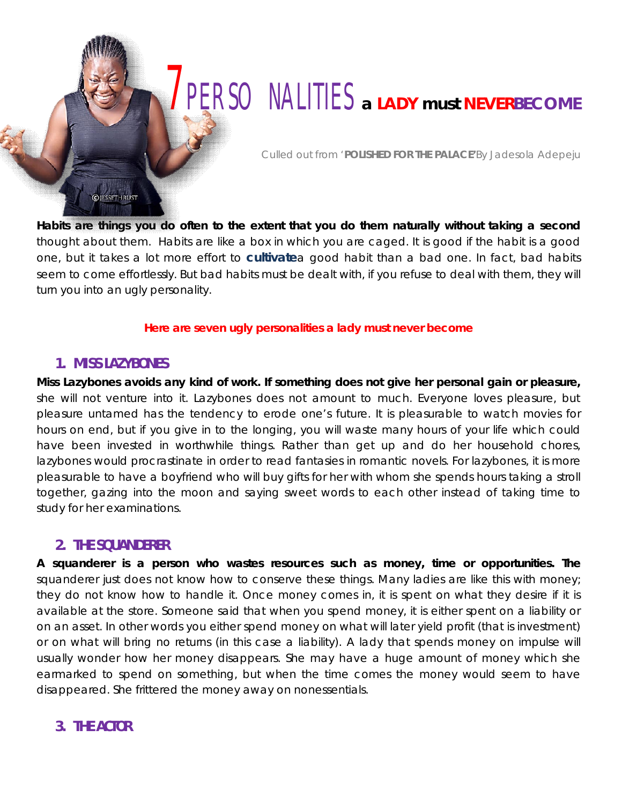# 7PERSONALITIES *a LADY must* **NEVERBECOME**

*Culled out from* '**POLISHED FOR THE PALACE'***By Jadesola Adepeju*

**Habits are things you do often to the extent that you do them naturally without taking a second** thought about them. Habits are like a box in which you are caged. It is good if the habit is a good one, but it takes a lot more effort to **[cultivate](http://www.jessethrust.com/7-keys-to-breaking-bad-habits.pdf)**a good habit than a bad one. In fact, bad habits seem to come effortlessly. But bad habits must be dealt with, if you refuse to deal with them, they will turn you into an ugly personality.

#### **Here are seven ugly personalities a lady must never become**

#### **1. MISS LAZYBONES**

**OJESSETHRUST** 

**Miss Lazybones avoids any kind of work. If something does not give her personal gain or pleasure,** she will not venture into it. Lazybones does not amount to much. Everyone loves pleasure, but pleasure untamed has the tendency to erode one's future. It is pleasurable to watch movies for hours on end, but if you give in to the longing, you will waste many hours of your life which could have been invested in worthwhile things. Rather than get up and do her household chores, lazybones would procrastinate in order to read fantasies in romantic novels. For lazybones, it is more pleasurable to have a boyfriend who will buy gifts for her with whom she spends hours taking a stroll together, gazing into the moon and saying sweet words to each other instead of taking time to study for her examinations.

## **2. THE SQUANDERER**

**A squanderer is a person who wastes resources such as money, time or opportunities. The** squanderer just does not know how to conserve these things. Many ladies are like this with money; they do not know how to handle it. Once money comes in, it is spent on what they desire if it is available at the store. Someone said that when you spend money, it is either spent on a liability or on an asset. In other words you either spend money on what will later yield profit (that is investment) or on what will bring no returns (in this case a liability). A lady that spends money on impulse will usually wonder how her money disappears. She may have a huge amount of money which she earmarked to spend on something, but when the time comes the money would seem to have disappeared. She frittered the money away on nonessentials.

## **3. THE ACTOR**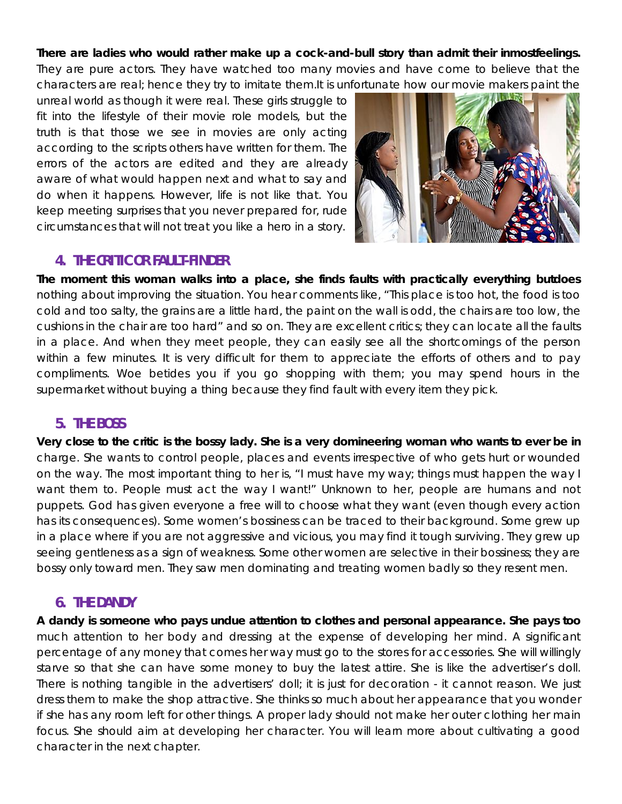#### **There are ladies who would rather make up a cock-and-bull story than admit their inmostfeelings.**

They are pure actors. They have watched too many movies and have come to believe that the characters are real; hence they try to imitate them.It is unfortunate how our movie makers paint the

unreal world as though it were real. These girls struggle to fit into the lifestyle of their movie role models, but the truth is that those we see in movies are only acting according to the scripts others have written for them. The errors of the actors are edited and they are already aware of what would happen next and what to say and do when it happens. However, life is not like that. You keep meeting surprises that you never prepared for, rude circumstances that will not treat you like a hero in a story.



## **4. THE CRITIC OR FAULT-FINDER**

**The moment this woman walks into a place, she finds faults with practically everything butdoes** nothing about improving the situation. You hear comments like, "This place is too hot, the food is too cold and too salty, the grains are a little hard, the paint on the wall is odd, the chairs are too low, the cushions in the chair are too hard" and so on. They are excellent critics; they can locate all the faults in a place. And when they meet people, they can easily see all the shortcomings of the person within a few minutes. It is very difficult for them to appreciate the efforts of others and to pay compliments. Woe betides you if you go shopping with them; you may spend hours in the supermarket without buying a thing because they find fault with every item they pick.

## **5. THE BOSS**

**Very close to the critic is the bossy lady. She is a very domineering woman who wants to ever be in** charge. She wants to control people, places and events irrespective of who gets hurt or wounded on the way. The most important thing to her is, "I must have my way; things must happen the way I want them to. People must act the way I want!" Unknown to her, people are humans and not puppets. God has given everyone a free will to choose what they want (even though every action has its consequences). Some women's bossiness can be traced to their background. Some grew up in a place where if you are not aggressive and vicious, you may find it tough surviving. They grew up seeing gentleness as a sign of weakness. Some other women are selective in their bossiness; they are bossy only toward men. They saw men dominating and treating women badly so they resent men.

## **6. THE DANDY**

**A dandy is someone who pays undue attention to clothes and personal appearance. She pays too** much attention to her body and dressing at the expense of developing her mind. A significant percentage of any money that comes her way must go to the stores for accessories. She will willingly starve so that she can have some money to buy the latest attire. She is like the advertiser's doll. There is nothing tangible in the advertisers' doll; it is just for decoration - it cannot reason. We just dress them to make the shop attractive. She thinks so much about her appearance that you wonder if she has any room left for other things. A proper lady should not make her outer clothing her main focus. She should aim at developing her character. You will learn more about cultivating a good character in the next chapter.